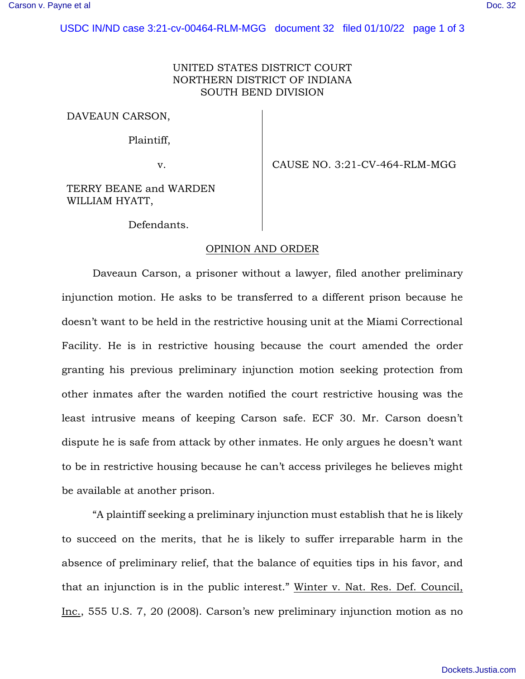## UNITED STATES DISTRICT COURT NORTHERN DISTRICT OF INDIANA SOUTH BEND DIVISION

DAVEAUN CARSON,

Plaintiff,

v. CAUSE NO. 3:21-CV-464-RLM-MGG

TERRY BEANE and WARDEN WILLIAM HYATT,

Defendants.

## OPINION AND ORDER

 Daveaun Carson, a prisoner without a lawyer, filed another preliminary injunction motion. He asks to be transferred to a different prison because he doesn't want to be held in the restrictive housing unit at the Miami Correctional Facility. He is in restrictive housing because the court amended the order granting his previous preliminary injunction motion seeking protection from other inmates after the warden notified the court restrictive housing was the least intrusive means of keeping Carson safe. ECF 30. Mr. Carson doesn't dispute he is safe from attack by other inmates. He only argues he doesn't want to be in restrictive housing because he can't access privileges he believes might be available at another prison.

 "A plaintiff seeking a preliminary injunction must establish that he is likely to succeed on the merits, that he is likely to suffer irreparable harm in the absence of preliminary relief, that the balance of equities tips in his favor, and that an injunction is in the public interest." Winter v. Nat. Res. Def. Council, Inc., 555 U.S. 7, 20 (2008). Carson's new preliminary injunction motion as no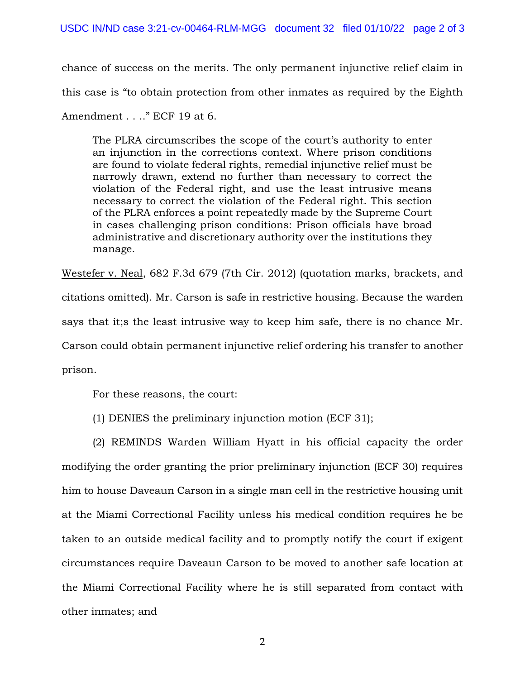chance of success on the merits. The only permanent injunctive relief claim in this case is "to obtain protection from other inmates as required by the Eighth Amendment . . .." ECF 19 at 6.

The PLRA circumscribes the scope of the court's authority to enter an injunction in the corrections context. Where prison conditions are found to violate federal rights, remedial injunctive relief must be narrowly drawn, extend no further than necessary to correct the violation of the Federal right, and use the least intrusive means necessary to correct the violation of the Federal right. This section of the PLRA enforces a point repeatedly made by the Supreme Court in cases challenging prison conditions: Prison officials have broad administrative and discretionary authority over the institutions they manage.

Westefer v. Neal, 682 F.3d 679 (7th Cir. 2012) (quotation marks, brackets, and citations omitted). Mr. Carson is safe in restrictive housing. Because the warden says that it;s the least intrusive way to keep him safe, there is no chance Mr. Carson could obtain permanent injunctive relief ordering his transfer to another prison.

For these reasons, the court:

(1) DENIES the preliminary injunction motion (ECF 31);

(2) REMINDS Warden William Hyatt in his official capacity the order

modifying the order granting the prior preliminary injunction (ECF 30) requires him to house Daveaun Carson in a single man cell in the restrictive housing unit at the Miami Correctional Facility unless his medical condition requires he be taken to an outside medical facility and to promptly notify the court if exigent circumstances require Daveaun Carson to be moved to another safe location at the Miami Correctional Facility where he is still separated from contact with other inmates; and